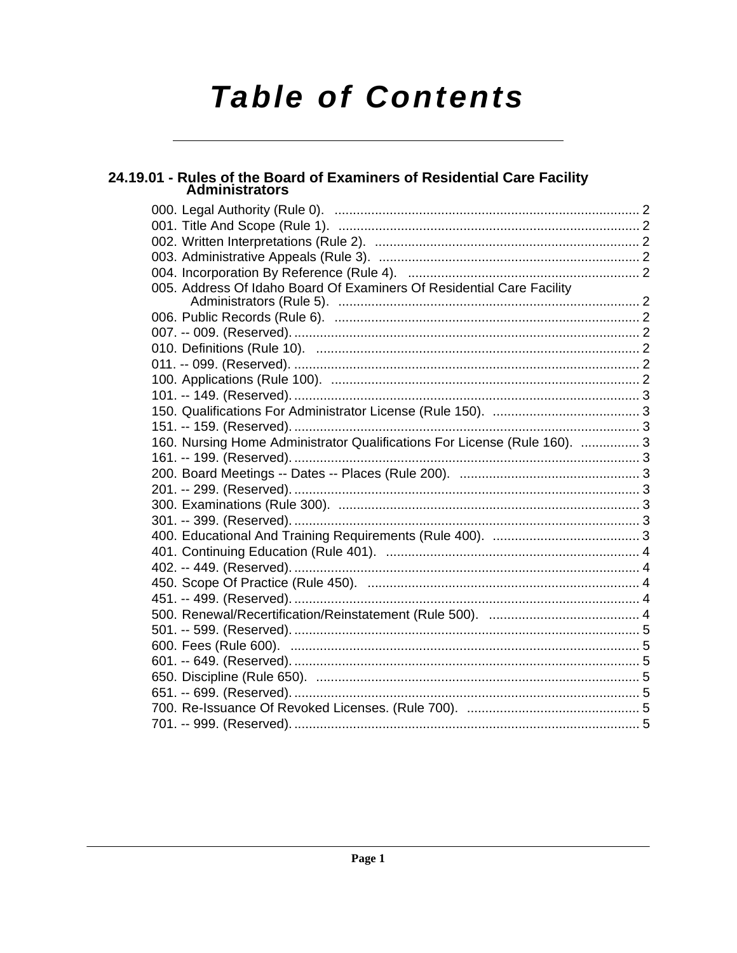# **Table of Contents**

# 24.19.01 - Rules of the Board of Examiners of Residential Care Facility<br>Administrators

| 005. Address Of Idaho Board Of Examiners Of Residential Care Facility     |  |
|---------------------------------------------------------------------------|--|
|                                                                           |  |
|                                                                           |  |
|                                                                           |  |
|                                                                           |  |
|                                                                           |  |
|                                                                           |  |
|                                                                           |  |
|                                                                           |  |
|                                                                           |  |
| 160. Nursing Home Administrator Qualifications For License (Rule 160).  3 |  |
|                                                                           |  |
|                                                                           |  |
|                                                                           |  |
|                                                                           |  |
|                                                                           |  |
|                                                                           |  |
|                                                                           |  |
|                                                                           |  |
|                                                                           |  |
|                                                                           |  |
|                                                                           |  |
|                                                                           |  |
|                                                                           |  |
|                                                                           |  |
|                                                                           |  |
|                                                                           |  |
|                                                                           |  |
|                                                                           |  |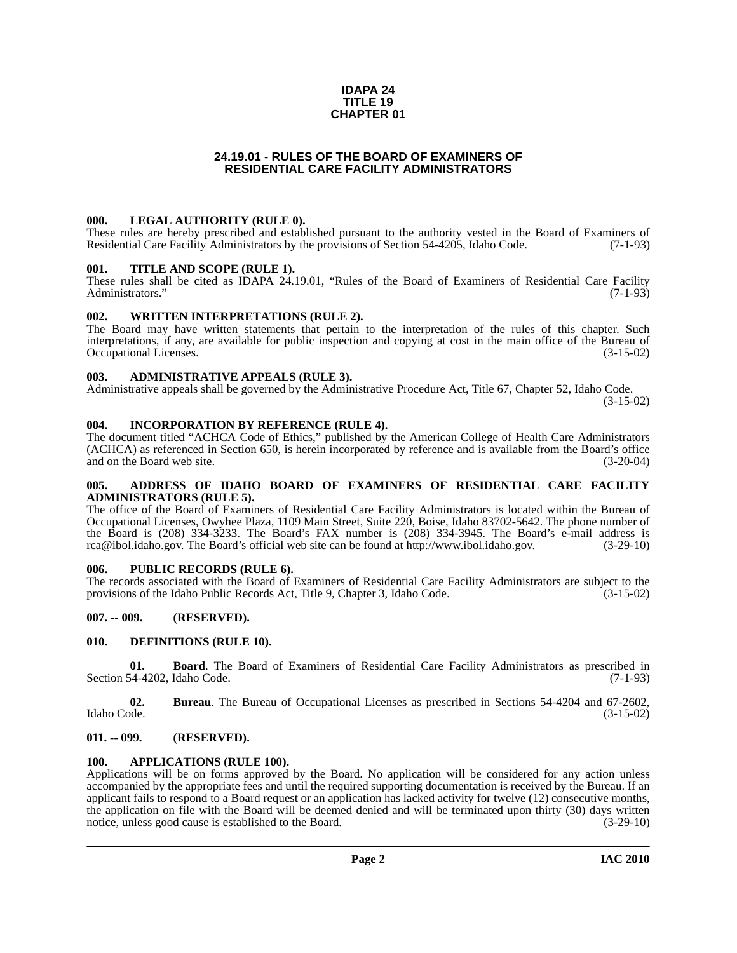# **IDAPA 24 TITLE 19 CHAPTER 01**

# **24.19.01 - RULES OF THE BOARD OF EXAMINERS OF RESIDENTIAL CARE FACILITY ADMINISTRATORS**

# <span id="page-1-1"></span><span id="page-1-0"></span>**000. LEGAL AUTHORITY (RULE 0).**

These rules are hereby prescribed and established pursuant to the authority vested in the Board of Examiners of Residential Care Facility Administrators by the provisions of Section 54-4205, Idaho Code. (7-1-93)

# <span id="page-1-2"></span>**001. TITLE AND SCOPE (RULE 1).**

These rules shall be cited as IDAPA 24.19.01, "Rules of the Board of Examiners of Residential Care Facility Administrators." (7-1-93) Administrators."

### <span id="page-1-3"></span>**002. WRITTEN INTERPRETATIONS (RULE 2).**

The Board may have written statements that pertain to the interpretation of the rules of this chapter. Such interpretations, if any, are available for public inspection and copying at cost in the main office of the Bureau of Occupational Licenses. (3-15-02)

# <span id="page-1-4"></span>**003. ADMINISTRATIVE APPEALS (RULE 3).**

Administrative appeals shall be governed by the Administrative Procedure Act, Title 67, Chapter 52, Idaho Code.

(3-15-02)

### <span id="page-1-5"></span>**004. INCORPORATION BY REFERENCE (RULE 4).**

The document titled "ACHCA Code of Ethics," published by the American College of Health Care Administrators (ACHCA) as referenced in Section 650, is herein incorporated by reference and is available from the Board's office and on the Board web site. (3-20-04)

### <span id="page-1-6"></span>**005. ADDRESS OF IDAHO BOARD OF EXAMINERS OF RESIDENTIAL CARE FACILITY ADMINISTRATORS (RULE 5).**

[The office of the Board of Examiners of Residential Care Facility Administrators is located within the Bureau of](mailto:rca@ibol.idaho.gov) Occupational Licenses, Owyhee Plaza, 1109 Main Street, Suite 220, Boise, Idaho 83702-5642. The phone number of the Board is (208) 334-3233. The Board's FAX number is (208) 334-3945. The Board's e-mail address is [rca@ibol.idaho.gov. The Board's official web site can be found at](mailto:rca@ibol.idaho.gov) [http://www.ibol.idaho.gov. \(3-29-10\)](http://www.ibol.idaho.gov)

# <span id="page-1-7"></span>**006. PUBLIC RECORDS (RULE 6).**

The records associated with the Board of Examiners of Residential Care Facility Administrators are subject to the provisions of the Idaho Public Records Act, Title 9, Chapter 3, Idaho Code. (3-15-02) provisions of the Idaho Public Records Act, Title 9, Chapter 3, Idaho Code.

# <span id="page-1-8"></span>**007. -- 009. (RESERVED).**

# <span id="page-1-13"></span><span id="page-1-9"></span>**010. DEFINITIONS (RULE 10).**

**01. Board**. The Board of Examiners of Residential Care Facility Administrators as prescribed in Section 54-4202, Idaho Code. (7-1-93)

**02. Bureau**. The Bureau of Occupational Licenses as prescribed in Sections 54-4204 and 67-2602, Idaho Code. (3-15-02)

# <span id="page-1-10"></span>**011. -- 099. (RESERVED).**

#### <span id="page-1-12"></span><span id="page-1-11"></span>**100. APPLICATIONS (RULE 100).**

Applications will be on forms approved by the Board. No application will be considered for any action unless accompanied by the appropriate fees and until the required supporting documentation is received by the Bureau. If an applicant fails to respond to a Board request or an application has lacked activity for twelve (12) consecutive months, the application on file with the Board will be deemed denied and will be terminated upon thirty (30) days written notice, unless good cause is established to the Board. (3-29-10) (3-29-10)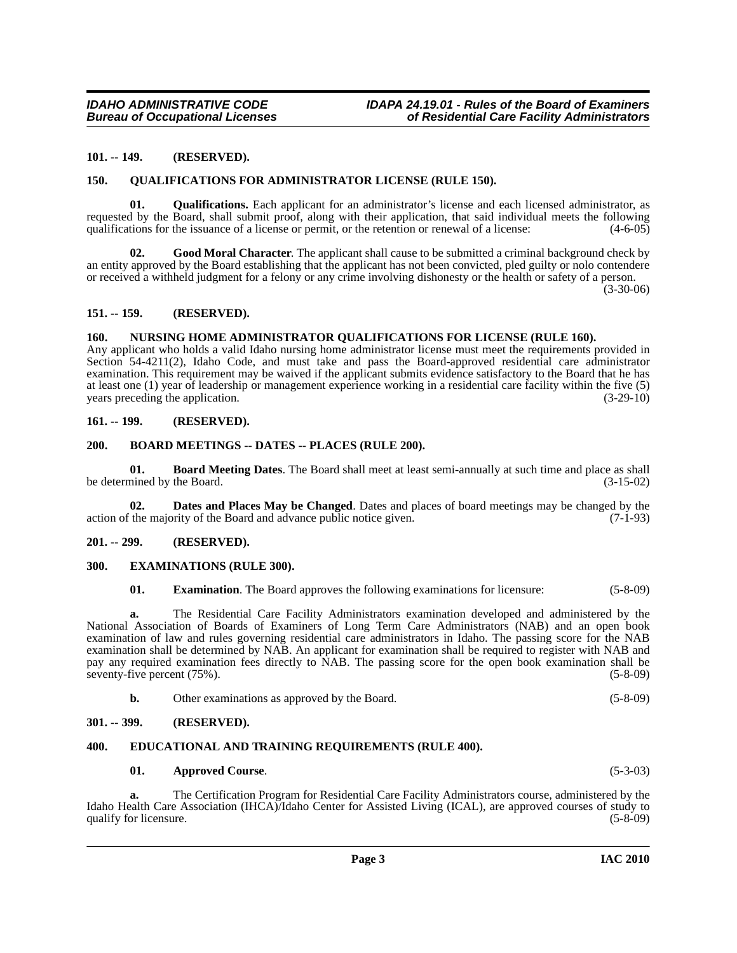# <span id="page-2-0"></span>**101. -- 149. (RESERVED).**

### <span id="page-2-17"></span><span id="page-2-1"></span>**150. QUALIFICATIONS FOR ADMINISTRATOR LICENSE (RULE 150).**

**01. Qualifications.** Each applicant for an administrator's license and each licensed administrator, as requested by the Board, shall submit proof, along with their application, that said individual meets the following qualifications for the issuance of a license or permit, or the retention or renewal of a license: (4-6-05)

**02. Good Moral Character**. The applicant shall cause to be submitted a criminal background check by an entity approved by the Board establishing that the applicant has not been convicted, pled guilty or nolo contendere or received a withheld judgment for a felony or any crime involving dishonesty or the health or safety of a person.

 $(3-30-06)$ 

### <span id="page-2-2"></span>**151. -- 159. (RESERVED).**

# <span id="page-2-16"></span><span id="page-2-3"></span>**160. NURSING HOME ADMINISTRATOR QUALIFICATIONS FOR LICENSE (RULE 160).**

Any applicant who holds a valid Idaho nursing home administrator license must meet the requirements provided in Section 54-4211(2), Idaho Code, and must take and pass the Board-approved residential care administrator examination. This requirement may be waived if the applicant submits evidence satisfactory to the Board that he has at least one (1) year of leadership or management experience working in a residential care facility within the five (5) years preceding the application.

# <span id="page-2-4"></span>**161. -- 199. (RESERVED).**

### <span id="page-2-12"></span><span id="page-2-5"></span>**200. BOARD MEETINGS -- DATES -- PLACES (RULE 200).**

<span id="page-2-11"></span>**01. Board Meeting Dates**. The Board shall meet at least semi-annually at such time and place as shall be determined by the Board. (3-15-02)

<span id="page-2-13"></span>**02. Dates and Places May be Changed**. Dates and places of board meetings may be changed by the action of the majority of the Board and advance public notice given. (7-1-93)

# <span id="page-2-6"></span>**201. -- 299. (RESERVED).**

#### <span id="page-2-7"></span>**300. EXAMINATIONS (RULE 300).**

<span id="page-2-15"></span>**01. Examination**. The Board approves the following examinations for licensure: (5-8-09)

**a.** The Residential Care Facility Administrators examination developed and administered by the National Association of Boards of Examiners of Long Term Care Administrators (NAB) and an open book examination of law and rules governing residential care administrators in Idaho. The passing score for the NAB examination shall be determined by NAB. An applicant for examination shall be required to register with NAB and pay any required examination fees directly to NAB. The passing score for the open book examination shall be seventy-five percent (75%). (5-8-09)

| Other examinations as approved by the Board. | $(5 - 8 - 09)$ |
|----------------------------------------------|----------------|
|                                              |                |

# <span id="page-2-8"></span>**301. -- 399. (RESERVED).**

#### <span id="page-2-9"></span>**400. EDUCATIONAL AND TRAINING REQUIREMENTS (RULE 400).**

#### <span id="page-2-14"></span><span id="page-2-10"></span>**01. Approved Course**. (5-3-03)

**a.** The Certification Program for Residential Care Facility Administrators course, administered by the Idaho Health Care Association (IHCA)/Idaho Center for Assisted Living (ICAL), are approved courses of study to qualify for licensure. (5-8-09)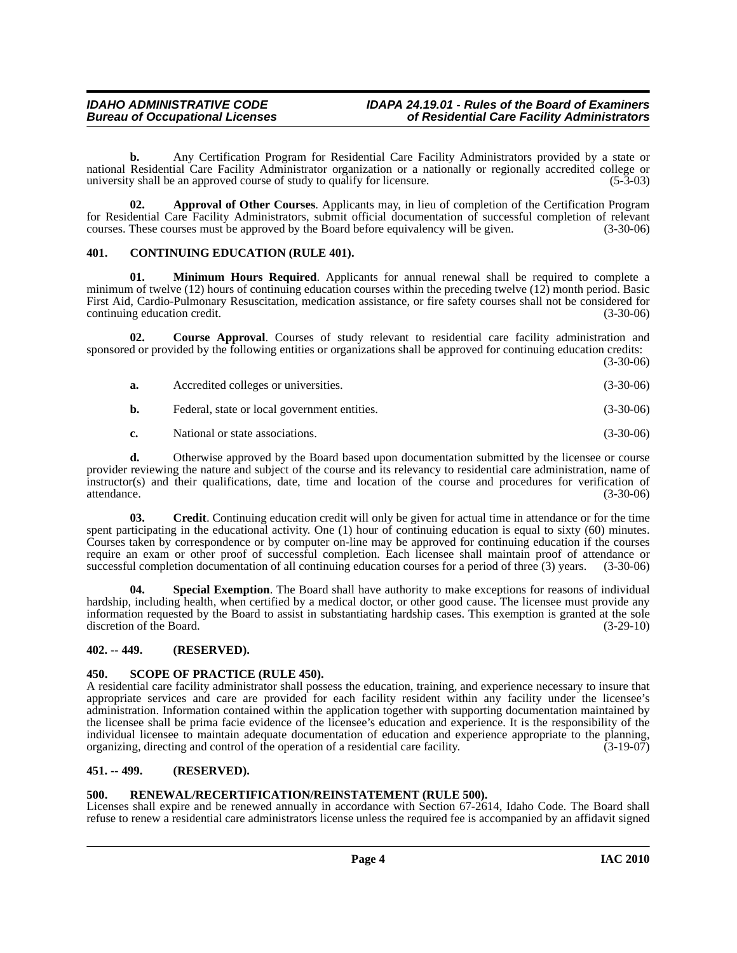**b.** Any Certification Program for Residential Care Facility Administrators provided by a state or national Residential Care Facility Administrator organization or a nationally or regionally accredited college or<br>university shall be an approved course of study to qualify for licensure. (5-3-03) university shall be an approved course of study to qualify for licensure.

<span id="page-3-5"></span>**02. Approval of Other Courses**. Applicants may, in lieu of completion of the Certification Program for Residential Care Facility Administrators, submit official documentation of successful completion of relevant courses. These courses must be approved by the Board before equivalency will be given. (3-30-06)

# <span id="page-3-6"></span><span id="page-3-0"></span>**401. CONTINUING EDUCATION (RULE 401).**

<span id="page-3-9"></span>**01. Minimum Hours Required**. Applicants for annual renewal shall be required to complete a minimum of twelve (12) hours of continuing education courses within the preceding twelve (12) month period. Basic First Aid, Cardio-Pulmonary Resuscitation, medication assistance, or fire safety courses shall not be considered for continuing education credit. (3-30-06)

**02. Course Approval**. Courses of study relevant to residential care facility administration and sponsored or provided by the following entities or organizations shall be approved for continuing education credits:  $(3-30-06)$ 

<span id="page-3-7"></span>

| а. | Accredited colleges or universities.         | $(3-30-06)$ |
|----|----------------------------------------------|-------------|
| b. | Federal, state or local government entities. | $(3-30-06)$ |
| c. | National or state associations.              | $(3-30-06)$ |

**d.** Otherwise approved by the Board based upon documentation submitted by the licensee or course provider reviewing the nature and subject of the course and its relevancy to residential care administration, name of instructor(s) and their qualifications, date, time and location of the course and procedures for verification of attendance. (3-30-06)

<span id="page-3-8"></span>**03. Credit**. Continuing education credit will only be given for actual time in attendance or for the time spent participating in the educational activity. One (1) hour of continuing education is equal to sixty (60) minutes. Courses taken by correspondence or by computer on-line may be approved for continuing education if the courses require an exam or other proof of successful completion. Each licensee shall maintain proof of attendance or successful completion documentation of all continuing education courses for a period of three (3) years. (3-30-06)

<span id="page-3-11"></span>**04. Special Exemption**. The Board shall have authority to make exceptions for reasons of individual hardship, including health, when certified by a medical doctor, or other good cause. The licensee must provide any information requested by the Board to assist in substantiating hardship cases. This exemption is granted at the sole discretion of the Board. (3-29-10)

# <span id="page-3-1"></span>**402. -- 449. (RESERVED).**

# <span id="page-3-2"></span>**450. SCOPE OF PRACTICE (RULE 450).**

A residential care facility administrator shall possess the education, training, and experience necessary to insure that appropriate services and care are provided for each facility resident within any facility under the licensee's administration. Information contained within the application together with supporting documentation maintained by the licensee shall be prima facie evidence of the licensee's education and experience. It is the responsibility of the individual licensee to maintain adequate documentation of education and experience appropriate to the planning, organizing, directing and control of the operation of a residential care facility.  $(3-19-07)$ 

# <span id="page-3-3"></span>**451. -- 499. (RESERVED).**

# <span id="page-3-10"></span><span id="page-3-4"></span>**500. RENEWAL/RECERTIFICATION/REINSTATEMENT (RULE 500).**

Licenses shall expire and be renewed annually in accordance with Section 67-2614, Idaho Code. The Board shall refuse to renew a residential care administrators license unless the required fee is accompanied by an affidavit signed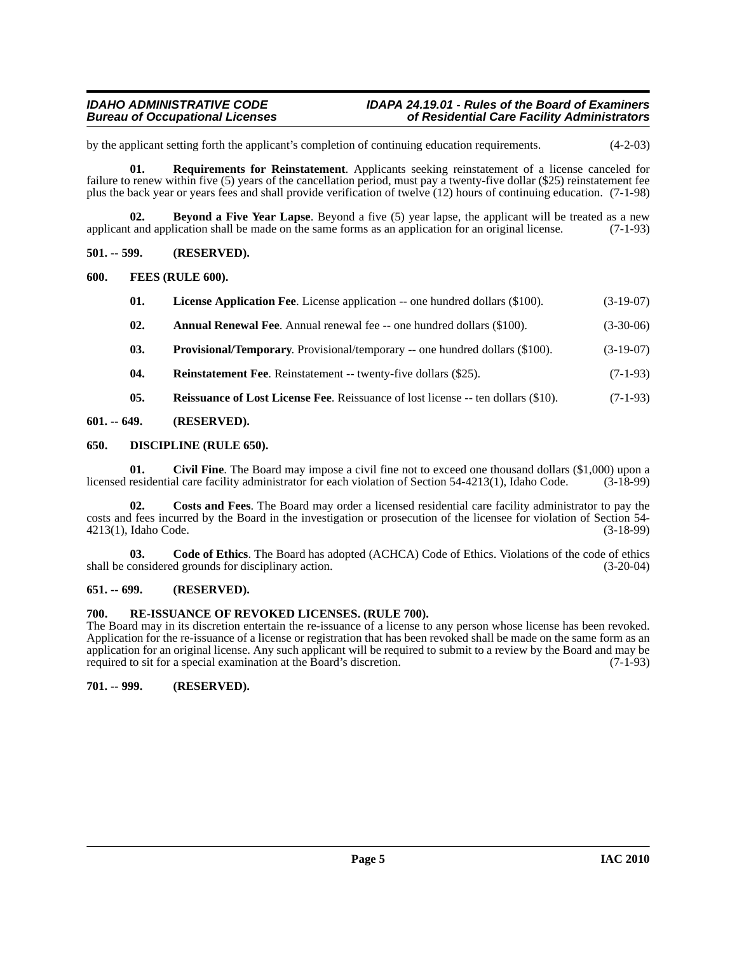# *IDAHO ADMINISTRATIVE CODE IDAPA 24.19.01 - Rules of the Board of Examiners* of Residential Care Facility Administrators

by the applicant setting forth the applicant's completion of continuing education requirements. (4-2-03)

<span id="page-4-19"></span>**01. Requirements for Reinstatement**. Applicants seeking reinstatement of a license canceled for failure to renew within five (5) years of the cancellation period, must pay a twenty-five dollar (\$25) reinstatement fee plus the back year or years fees and shall provide verification of twelve (12) hours of continuing education. (7-1-98)

<span id="page-4-8"></span>**02. Beyond a Five Year Lapse**. Beyond a five (5) year lapse, the applicant will be treated as a new applicant and application shall be made on the same forms as an application for an original license. (7-1-93)

<span id="page-4-0"></span>**501. -- 599. (RESERVED).**

<span id="page-4-1"></span>**600. FEES (RULE 600).**

<span id="page-4-14"></span><span id="page-4-13"></span><span id="page-4-7"></span>

| 01. | <b>License Application Fee.</b> License application -- one hundred dollars (\$100). | $(3-19-07)$ |
|-----|-------------------------------------------------------------------------------------|-------------|
| 02. | <b>Annual Renewal Fee.</b> Annual renewal fee -- one hundred dollars (\$100).       | $(3-30-06)$ |

- <span id="page-4-15"></span>
- **03. Provisional/Temporary**. Provisional/temporary -- one hundred dollars (\$100). (3-19-07)
- <span id="page-4-17"></span><span id="page-4-16"></span>**04.** Reinstatement Fee. Reinstatement -- twenty-five dollars (\$25). (7-1-93)
- <span id="page-4-12"></span><span id="page-4-9"></span>**05.** Reissuance of Lost License Fee. Reissuance of lost license -- ten dollars (\$10). (7-1-93)

# <span id="page-4-2"></span>**601. -- 649. (RESERVED).**

# <span id="page-4-3"></span>**650. DISCIPLINE (RULE 650).**

**01.** Civil Fine. The Board may impose a civil fine not to exceed one thousand dollars (\$1,000) upon a residential care facility administrator for each violation of Section 54-4213(1), Idaho Code. (3-18-99) licensed residential care facility administrator for each violation of Section 54-4213(1), Idaho Code.

<span id="page-4-11"></span>**02. Costs and Fees**. The Board may order a licensed residential care facility administrator to pay the costs and fees incurred by the Board in the investigation or prosecution of the licensee for violation of Section 54- 4213(1), Idaho Code. (3-18-99)

<span id="page-4-10"></span>**03. Code of Ethics**. The Board has adopted (ACHCA) Code of Ethics. Violations of the code of ethics shall be considered grounds for disciplinary action. (3-20-04)

# <span id="page-4-4"></span>**651. -- 699. (RESERVED).**

# <span id="page-4-18"></span><span id="page-4-5"></span>**700. RE-ISSUANCE OF REVOKED LICENSES. (RULE 700).**

The Board may in its discretion entertain the re-issuance of a license to any person whose license has been revoked. Application for the re-issuance of a license or registration that has been revoked shall be made on the same form as an application for an original license. Any such applicant will be required to submit to a review by the Board and may be required to sit for a special examination at the Board's discretion. (7-1-93) required to sit for a special examination at the Board's discretion.

# <span id="page-4-6"></span>**701. -- 999. (RESERVED).**